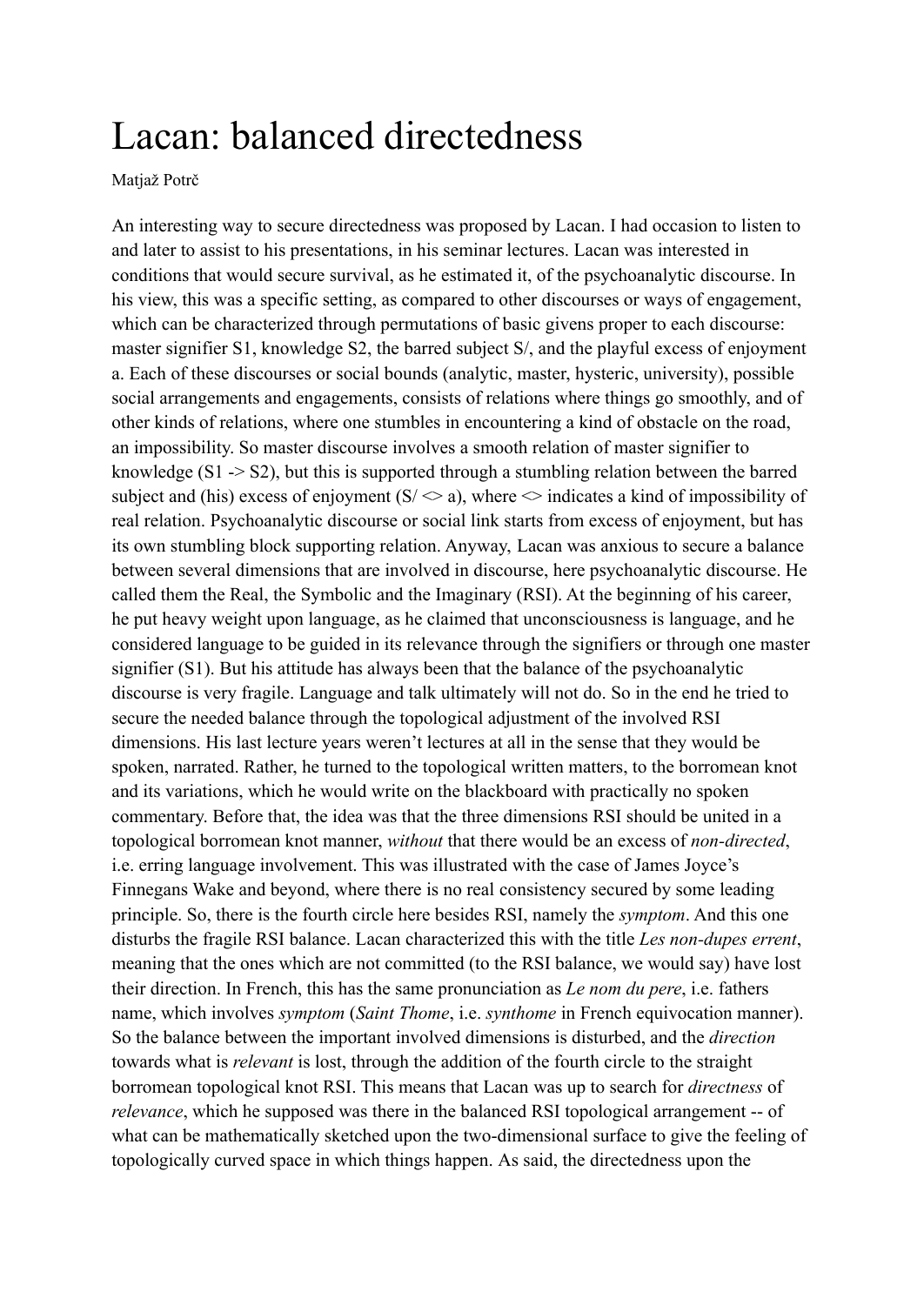## Lacan: balanced directedness

## Matjaž Potrč

An interesting way to secure directedness was proposed by Lacan. I had occasion to listen to and later to assist to his presentations, in his seminar lectures. Lacan was interested in conditions that would secure survival, as he estimated it, of the psychoanalytic discourse. In his view, this was a specific setting, as compared to other discourses or ways of engagement, which can be characterized through permutations of basic givens proper to each discourse: master signifier S1, knowledge S2, the barred subject S/, and the playful excess of enjoyment a. Each of these discourses or social bounds (analytic, master, hysteric, university), possible social arrangements and engagements, consists of relations where things go smoothly, and of other kinds of relations, where one stumbles in encountering a kind of obstacle on the road, an impossibility. So master discourse involves a smooth relation of master signifier to knowledge  $(S1 \rightarrow S2)$ , but this is supported through a stumbling relation between the barred subject and (his) excess of enjoyment (S/ $\leq a$ ), where  $\leq$  indicates a kind of impossibility of real relation. Psychoanalytic discourse or social link starts from excess of enjoyment, but has its own stumbling block supporting relation. Anyway, Lacan was anxious to secure a balance between several dimensions that are involved in discourse, here psychoanalytic discourse. He called them the Real, the Symbolic and the Imaginary (RSI). At the beginning of his career, he put heavy weight upon language, as he claimed that unconsciousness is language, and he considered language to be guided in its relevance through the signifiers or through one master signifier (S1). But his attitude has always been that the balance of the psychoanalytic discourse is very fragile. Language and talk ultimately will not do. So in the end he tried to secure the needed balance through the topological adjustment of the involved RSI dimensions. His last lecture years weren't lectures at all in the sense that they would be spoken, narrated. Rather, he turned to the topological written matters, to the borromean knot and its variations, which he would write on the blackboard with practically no spoken commentary. Before that, the idea was that the three dimensions RSI should be united in a topological borromean knot manner, *without* that there would be an excess of *non-directed*, i.e. erring language involvement. This was illustrated with the case of James Joyce's Finnegans Wake and beyond, where there is no real consistency secured by some leading principle. So, there is the fourth circle here besides RSI, namely the *symptom*. And this one disturbs the fragile RSI balance. Lacan characterized this with the title *Les non-dupes errent*, meaning that the ones which are not committed (to the RSI balance, we would say) have lost their direction. In French, this has the same pronunciation as *Le nom du pere*, i.e. fathers name, which involves *symptom* (*Saint Thome*, i.e. *synthome* in French equivocation manner). So the balance between the important involved dimensions is disturbed, and the *direction* towards what is *relevant* is lost, through the addition of the fourth circle to the straight borromean topological knot RSI. This means that Lacan was up to search for *directness* of *relevance*, which he supposed was there in the balanced RSI topological arrangement -- of what can be mathematically sketched upon the two-dimensional surface to give the feeling of topologically curved space in which things happen. As said, the directedness upon the